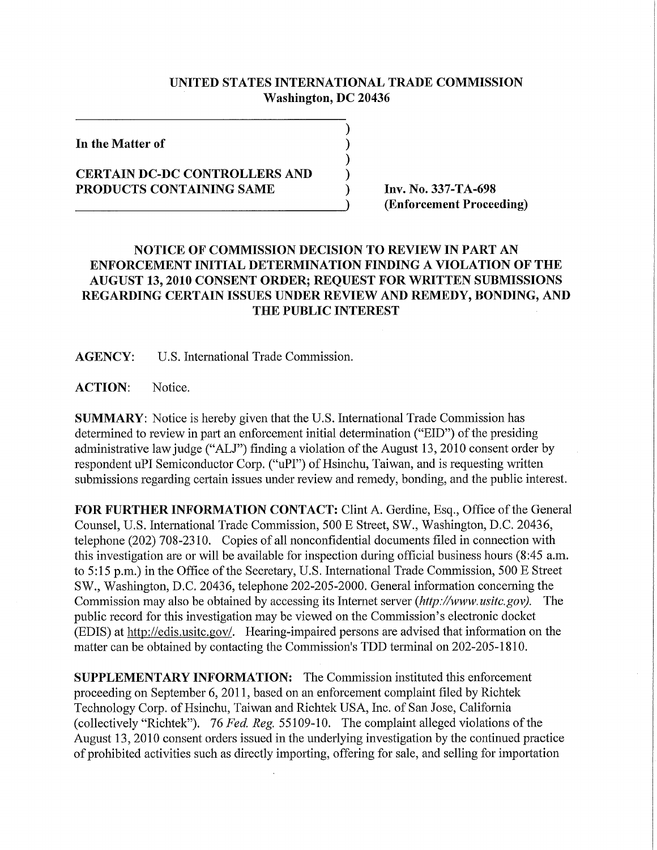## **UNITED STATES INTERNATIONAL TRADE COMMISSION Washington, DC 20436**

⟩  $\mathcal{E}$  $\mathcal{Y}$  $\lambda$ 

**In the Matter of** 

## **CERTAIN DC-DC CONTROLLERS AND**  PRODUCTS CONTAINING SAME **Inv. No. 337-TA-698**

**(Enforcement Proceeding)** 

## **NOTICE OF COMMISSION DECISION TO REVIEW IN PART AN ENFORCEMENT INITIAL DETERMINATION FINDING A VIOLATION OF THE AUGUST 13, 2010 CONSENT ORDER; REQUEST FOR WRITTEN SUBMISSIONS REGARDING CERTAIN ISSUES UNDER REVIEW AND REMEDY, BONDING, AND THE PUBLIC INTEREST**

**AGENCY:** U.S. International Trade Commission.

**ACTION:** Notice.

**SUMMARY:** Notice is hereby given that the U.S. International Trade Commission has determined to review in part an enforcement initial determination ("EID") of the presiding administrative law judge ("ALJ") finding a violation of the August 13, 2010 consent order by respondent uPI Semiconductor Corp. ("uPI") of Hsinchu, Taiwan, and is requesting written submissions regarding certain issues under review and remedy, bonding, and the public interest.

FOR FURTHER INFORMATION CONTACT: Clint A. Gerdine, Esq., Office of the General Counsel, U.S. International Trade Commission, 500 E Street, SW., Washington, D.C. 20436, telephone (202) 708-2310. Copies of all nonconfidential documents filed in connection with this investigation are or will be available for inspection during official business hours (8:45 a.m. to 5:15 p.m.) in the Office of the Secretary, U.S. International Trade Commission, 500 E Street SW., Washington, D.C. 20436, telephone 202-205-2000. General information concerning the Commission may also be obtained by accessing its Internet server *(http://www. usitc.gov).* The public record for this investigation may be viewed on the Commission's electronic docket (EDIS) at http://edis.usitc.gov/. Hearing-impaired persons are advised that information on the matter can be obtained by contacting the Commission's TDD terminal on 202-205-1810.

**SUPPLEMENTARY INFORMATION:** The Commission instituted this enforcement proceeding on September 6, 2011, based on an enforcement complaint filed by Richtek Technology Corp. of Hsinchu, Taiwan and Richtek USA, Inc. of San Jose, California (collectively "Richtek"). 76 *Fed. Reg.* 55109-10. The complaint alleged violations of the August 13,2010 consent orders issued in the underlying investigation by the continued practice of prohibited activities such as directly importing, offering for sale, and selling for importation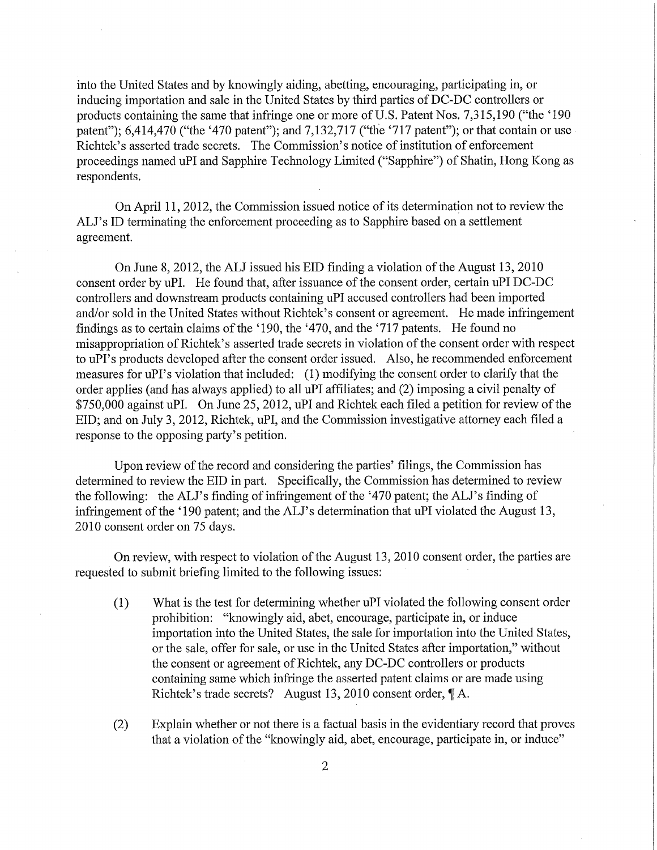into the United States and by knowingly aiding, abetting, encouraging, participating in, or inducing importation and sale in the United States by third parties of DC-DC controllers or products containing the same that infringe one or more of U.S. Patent Nos. 7,315,190 ("the '190 patent"); 6,414,470 ("the '470 patent"); and 7,132,717 ("the '717 patent"); or that contain or use Richtek's asserted trade secrets. The Commission's notice of institution of enforcement proceedings named uPI and Sapphire Technology Limited ("Sapphire") of Shatin, Hong Kong as respondents.

On April 11, 2012, the Commission issued notice of its determination not to review the ALJ's ID terminating the enforcement proceeding as to Sapphire based on a settlement agreement.

On June 8, 2012, the ALJ issued his EID finding a violation of the August 13, 2010 consent order by uPI. He found that, after issuance of the consent order, certain uPI DC-DC controllers and downstream products containing uPI accused controllers had been imported and/or sold in the United States without Richtek's consent or agreement. He made infringement findings as to certain claims of the '190, the '470, and the '717 patents. He found no misappropriation of Richtek's asserted trade secrets in violation of the consent order with respect to uPI's products developed after the consent order issued. Also, he recommended enforcement measures for uPI's violation that included: (1) modifying the consent order to clarify that the order applies (and has always applied) to all uPI affiliates; and (2) imposing a civil penalty of \$750,000 against uPI. On June 25,2012, uPI and Richtek each filed a petition for review of the EID; and on July 3, 2012, Richtek, uPI, and the Commission investigative attorney each filed a response to the opposing party's petition.

Upon review of the record and considering the parties' filings, the Commission has determined to review the EID in part. Specifically, the Commission has determined to review the following: the ALJ's finding of infringement of the '470 patent; the ALJ's finding of infringement of the '190 patent; and the ALJ's determination that uPI violated the August 13, 2010 consent order on 75 days.

On review, with respect to violation of the August 13, 2010 consent order, the parties are requested to submit briefing limited to the following issues:

- (1) What is the test for determining whether uPI violated the following consent order prohibition: "knowingly aid, abet, encourage, participate in, or induce importation into the United States, the sale for importation into the United States, or the sale, offer for sale, or use in the United States after importation," without the consent or agreement of Richtek, any DC-DC controllers or products containing same which infringe the asserted patent claims or are made using Richtek's trade secrets? August 13, 2010 consent order,  $\P$  A.
- (2) Explain whether or not there is a factual basis in the evidentiary record that proves that a violation of the "knowingly aid, abet, encourage, participate in, or induce"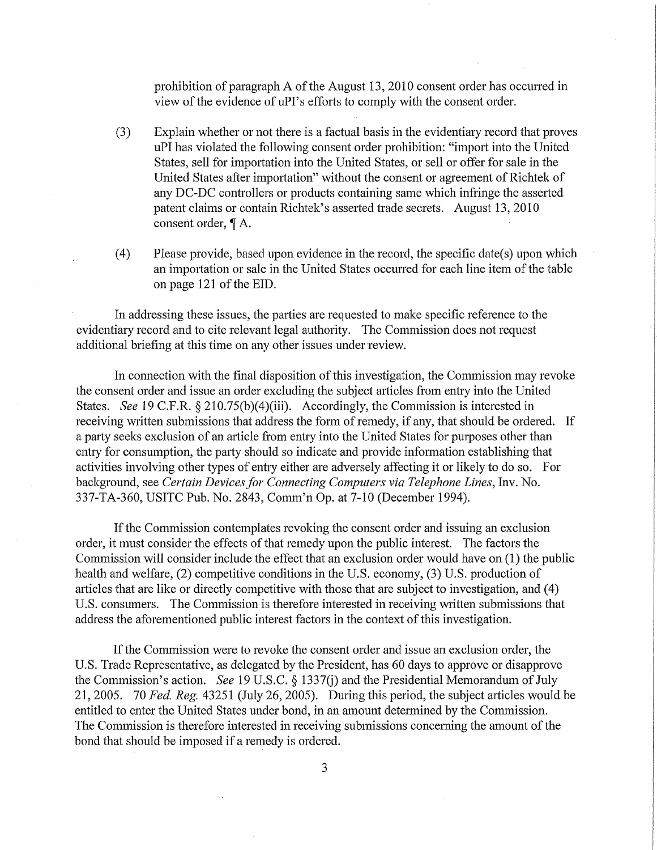prohibition of paragraph A of the August 13, 2010 consent order has occurred in view of the evidence of uPI's efforts to comply with the consent order.

- (3) Explain whether or not there is a factual basis in the evidentiary record that proves uPI has violated the following consent order prohibition: "import into the United States, sell for importation into the United States, or sell or offer for sale in the United States after importation" without the consent or agreement of Richtek of any DC-DC controllers or products containing same which infringe the asserted patent claims or contain Richtek's asserted trade secrets. August 13, 2010 consent order,  $\P$  A.
- (4) Please provide, based upon evidence in the record, the specific date(s) upon which an importation or sale in the United States occurred for each line item of the table on page 121 of the EID.

In addressing these issues, the parties are requested to make specific reference to the evidentiary record and to cite relevant legal authority. The Commission does not request additional briefing at this time on any other issues under review.

In connection with the final disposition of this investigation, the Commission may revoke the consent order and issue an order excluding the subject articles from entiy into the United States. *See* 19 C.F.R. § 210.75(b)(4)(iii). Accordingly, the Commission is interested in receiving written submissions that address the form of remedy, if any, that should be ordered. If a party seeks exclusion of an article from entry into the United States for purposes other than entry for consumption, the party should so indicate and provide information establishing that activities involving other types of entry either are adversely affecting it or likely to do so. For background, see *Certain Devices for Connecting Computers via Telephone Lines,* Inv. No. 337-TA-360, USITC Pub. No. 2843, Comm'n Op. at 7-10 (December 1994).

If the Commission contemplates revoking the consent order and issuing an exclusion order, it must consider the effects of that remedy upon the public interest. The factors the Commission will consider include the effect that an exclusion order would have on (1) the public health and welfare, (2) competitive conditions in the U.S. economy, (3) U.S. production of articles that are like or directly competitive with those that are subject to investigation, and (4) U.S. consumers. The Commission is therefore interested in receiving written submissions that address the aforementioned public interest factors in the context of this investigation.

If the Commission were to revoke the consent order and issue an exclusion order, the U.S. Trade Representative, as delegated by the President, has 60 days to approve or disapprove the Commission's action. *See* 19 U.S.C. § 1337(j) and the Presidential Memorandum of July 21, 2005. 70 *Fed. Reg.* 43251 (July 26, 2005). During this period, the subject articles would be entitled to enter the United States under bond, in an amount determined by the Commission. The Commission is therefore interested in receiving submissions concerning the amount of the bond that should be imposed if a remedy is ordered.